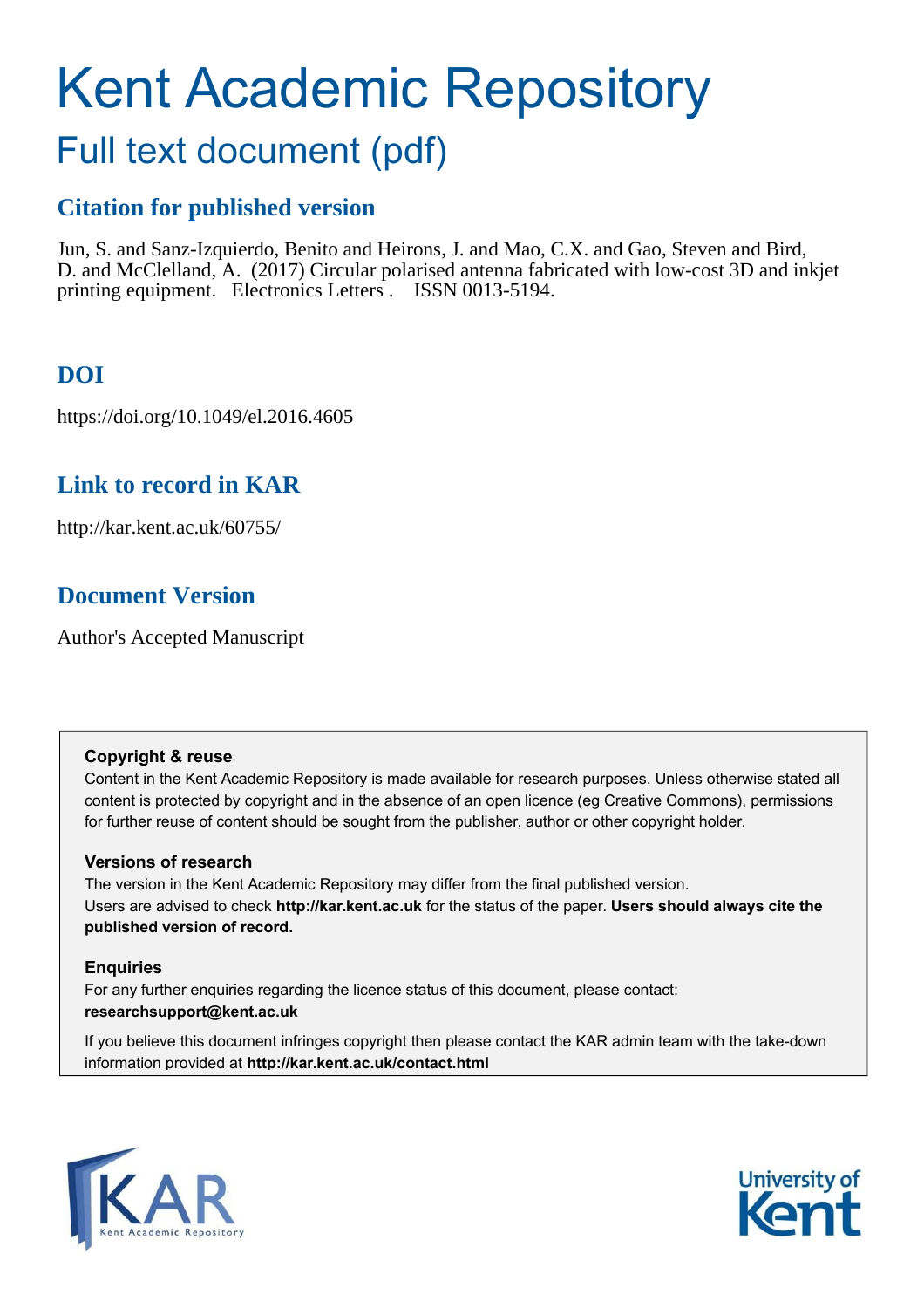# Kent Academic Repository

## Full text document (pdf)

## **Citation for published version**

Jun, S. and Sanz-Izquierdo, Benito and Heirons, J. and Mao, C.X. and Gao, Steven and Bird, D. and McClelland, A. (2017) Circular polarised antenna fabricated with low-cost 3D and inkjet printing equipment. Electronics Letters . ISSN 0013-5194.

## **DOI**

https://doi.org/10.1049/el.2016.4605

## **Link to record in KAR**

http://kar.kent.ac.uk/60755/

## **Document Version**

Author's Accepted Manuscript

#### **Copyright & reuse**

Content in the Kent Academic Repository is made available for research purposes. Unless otherwise stated all content is protected by copyright and in the absence of an open licence (eg Creative Commons), permissions for further reuse of content should be sought from the publisher, author or other copyright holder.

#### **Versions of research**

The version in the Kent Academic Repository may differ from the final published version. Users are advised to check **http://kar.kent.ac.uk** for the status of the paper. **Users should always cite the published version of record.**

#### **Enquiries**

For any further enquiries regarding the licence status of this document, please contact: **researchsupport@kent.ac.uk**

If you believe this document infringes copyright then please contact the KAR admin team with the take-down information provided at **http://kar.kent.ac.uk/contact.html**



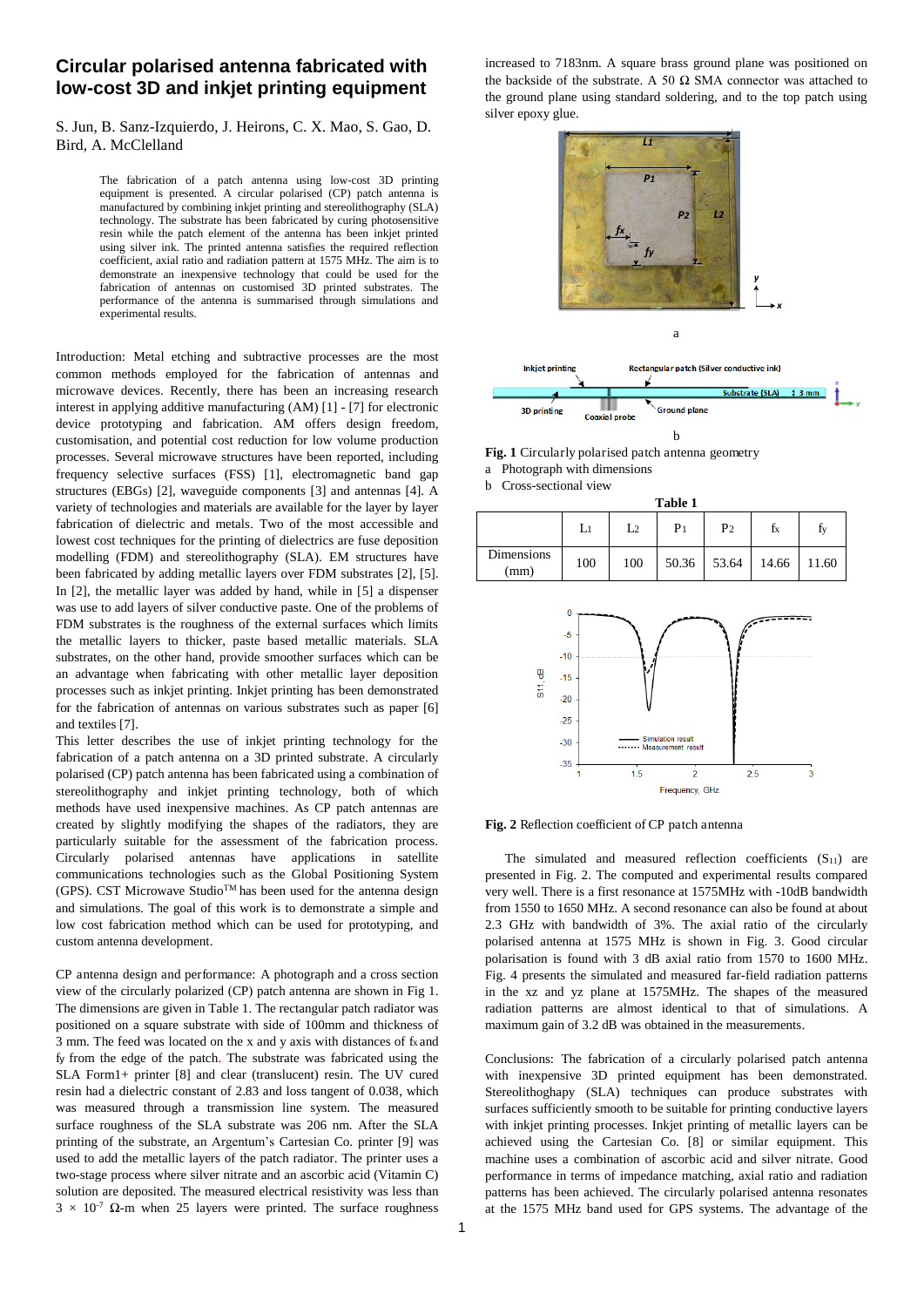#### **Circular polarised antenna fabricated with low-cost 3D and inkjet printing equipment**

S. Jun, B. Sanz-Izquierdo, J. Heirons, C. X. Mao, S. Gao, D. Bird, A. McClelland

> The fabrication of a patch antenna using low-cost 3D printing equipment is presented. A circular polarised (CP) patch antenna is manufactured by combining inkjet printing and stereolithography (SLA) technology. The substrate has been fabricated by curing photosensitive resin while the patch element of the antenna has been inkjet printed using silver ink. The printed antenna satisfies the required reflection coefficient, axial ratio and radiation pattern at 1575 MHz. The aim is to demonstrate an inexpensive technology that could be used for the fabrication of antennas on customised 3D printed substrates. The performance of the antenna is summarised through simulations and experimental results.

Introduction: Metal etching and subtractive processes are the most common methods employed for the fabrication of antennas and microwave devices. Recently, there has been an increasing research interest in applying additive manufacturing (AM) [1] - [7] for electronic device prototyping and fabrication. AM offers design freedom, customisation, and potential cost reduction for low volume production processes. Several microwave structures have been reported, including frequency selective surfaces (FSS) [1], electromagnetic band gap structures (EBGs) [2], waveguide components [3] and antennas [4]. A variety of technologies and materials are available for the layer by layer fabrication of dielectric and metals. Two of the most accessible and lowest cost techniques for the printing of dielectrics are fuse deposition modelling (FDM) and stereolithography (SLA). EM structures have been fabricated by adding metallic layers over FDM substrates [2], [5]. In [2], the metallic layer was added by hand, while in [5] a dispenser was use to add layers of silver conductive paste. One of the problems of FDM substrates is the roughness of the external surfaces which limits the metallic layers to thicker, paste based metallic materials. SLA substrates, on the other hand, provide smoother surfaces which can be an advantage when fabricating with other metallic layer deposition processes such as inkjet printing. Inkjet printing has been demonstrated for the fabrication of antennas on various substrates such as paper [6] and textiles [7].

This letter describes the use of inkjet printing technology for the fabrication of a patch antenna on a 3D printed substrate. A circularly polarised (CP) patch antenna has been fabricated using a combination of stereolithography and inkjet printing technology, both of which methods have used inexpensive machines. As CP patch antennas are created by slightly modifying the shapes of the radiators, they are particularly suitable for the assessment of the fabrication process. Circularly polarised antennas have applications in satellite communications technologies such as the Global Positioning System (GPS). CST Microwave StudioTM has been used for the antenna design and simulations. The goal of this work is to demonstrate a simple and low cost fabrication method which can be used for prototyping, and custom antenna development.

CP antenna design and performance: A photograph and a cross section view of the circularly polarized (CP) patch antenna are shown in Fig 1. The dimensions are given in Table 1. The rectangular patch radiator was positioned on a square substrate with side of 100mm and thickness of 3 mm. The feed was located on the x and y axis with distances of fx and fy from the edge of the patch. The substrate was fabricated using the SLA Form1+ printer [8] and clear (translucent) resin. The UV cured resin had a dielectric constant of 2.83 and loss tangent of 0.038, which was measured through a transmission line system. The measured surface roughness of the SLA substrate was 206 nm. After the SLA printing of the substrate, an Argentum's Cartesian Co. printer [9] was used to add the metallic layers of the patch radiator. The printer uses a two-stage process where silver nitrate and an ascorbic acid (Vitamin C) solution are deposited. The measured electrical resistivity was less than  $3 \times 10^{-7}$  Ω-m when 25 layers were printed. The surface roughness increased to 7183nm. A square brass ground plane was positioned on the backside of the substrate. A 50  $\Omega$  SMA connector was attached to the ground plane using standard soldering, and to the top patch using silver epoxy glue.



**Fig. 1** Circularly polarised patch antenna geometry

a Photograph with dimensions

b Cross-sectional view

| таріе т            |     |     |                |                |       |       |
|--------------------|-----|-----|----------------|----------------|-------|-------|
|                    | Lı  | L2  | P <sub>1</sub> | P <sub>2</sub> | fx    | İy    |
| Dimensions<br>(mm) | 100 | 100 |                | 50.36 53.64    | 14.66 | 11.60 |

**Table 1**



**Fig. 2** Reflection coefficient of CP patch antenna

The simulated and measured reflection coefficients  $(S_{11})$  are presented in Fig. 2. The computed and experimental results compared very well. There is a first resonance at 1575MHz with -10dB bandwidth from 1550 to 1650 MHz. A second resonance can also be found at about 2.3 GHz with bandwidth of 3%. The axial ratio of the circularly polarised antenna at 1575 MHz is shown in Fig. 3. Good circular polarisation is found with 3 dB axial ratio from 1570 to 1600 MHz. Fig. 4 presents the simulated and measured far-field radiation patterns in the xz and yz plane at 1575MHz. The shapes of the measured radiation patterns are almost identical to that of simulations. A maximum gain of 3.2 dB was obtained in the measurements.

Conclusions: The fabrication of a circularly polarised patch antenna with inexpensive 3D printed equipment has been demonstrated. Stereolithoghapy (SLA) techniques can produce substrates with surfaces sufficiently smooth to be suitable for printing conductive layers with inkjet printing processes. Inkjet printing of metallic layers can be achieved using the Cartesian Co. [8] or similar equipment. This machine uses a combination of ascorbic acid and silver nitrate. Good performance in terms of impedance matching, axial ratio and radiation patterns has been achieved. The circularly polarised antenna resonates at the 1575 MHz band used for GPS systems. The advantage of the